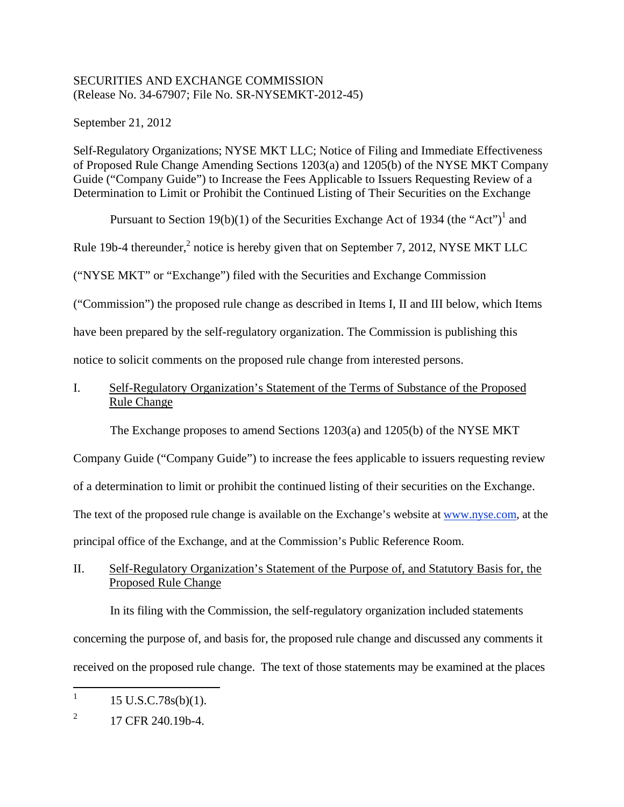### SECURITIES AND EXCHANGE COMMISSION (Release No. 34-67907; File No. SR-NYSEMKT-2012-45)

September 21, 2012

Self-Regulatory Organizations; NYSE MKT LLC; Notice of Filing and Immediate Effectiveness of Proposed Rule Change Amending Sections 1203(a) and 1205(b) of the NYSE MKT Company Guide ("Company Guide") to Increase the Fees Applicable to Issuers Requesting Review of a Determination to Limit or Prohibit the Continued Listing of Their Securities on the Exchange

Pursuant to Section 19(b)(1) of the Securities Exchange Act of 1934 (the "Act")<sup>1</sup> and

Rule 19b-4 thereunder, $^2$  notice is hereby given that on September 7, 2012, NYSE MKT LLC

("NYSE MKT" or "Exchange") filed with the Securities and Exchange Commission

("Commission") the proposed rule change as described in Items I, II and III below, which Items

have been prepared by the self-regulatory organization. The Commission is publishing this

notice to solicit comments on the proposed rule change from interested persons.

# I. Self-Regulatory Organization's Statement of the Terms of Substance of the Proposed Rule Change

The Exchange proposes to amend Sections 1203(a) and 1205(b) of the NYSE MKT

Company Guide ("Company Guide") to increase the fees applicable to issuers requesting review

of a determination to limit or prohibit the continued listing of their securities on the Exchange.

The text of the proposed rule change is available on the Exchange's website at www.nyse.com, at the

principal office of the Exchange, and at the Commission's Public Reference Room.

# II. Self-Regulatory Organization's Statement of the Purpose of, and Statutory Basis for, the Proposed Rule Change

In its filing with the Commission, the self-regulatory organization included statements concerning the purpose of, and basis for, the proposed rule change and discussed any comments it received on the proposed rule change. The text of those statements may be examined at the places

 $\frac{1}{1}$ 15 U.S.C.78s(b)(1).

<sup>2</sup> 17 CFR 240.19b-4.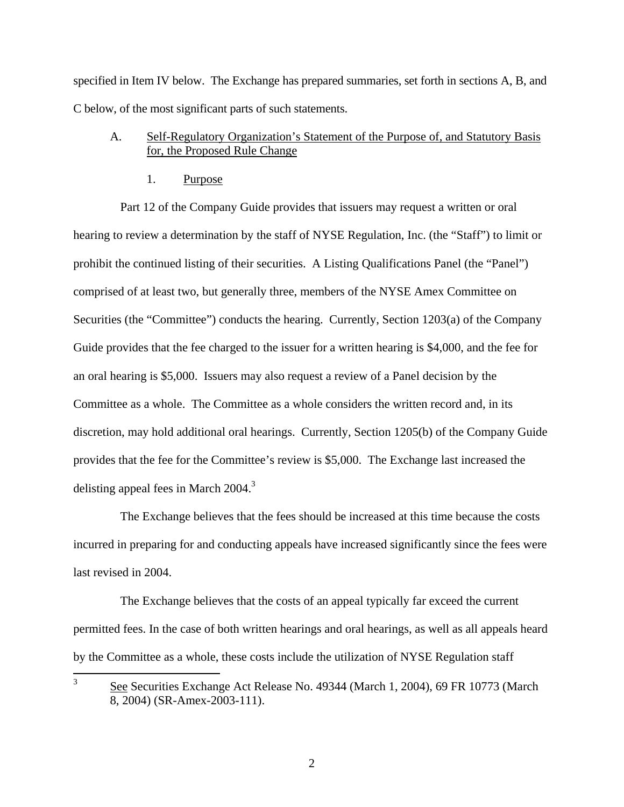specified in Item IV below. The Exchange has prepared summaries, set forth in sections A, B, and C below, of the most significant parts of such statements.

## A. Self-Regulatory Organization's Statement of the Purpose of, and Statutory Basis for, the Proposed Rule Change

1. Purpose

Part 12 of the Company Guide provides that issuers may request a written or oral hearing to review a determination by the staff of NYSE Regulation, Inc. (the "Staff") to limit or prohibit the continued listing of their securities. A Listing Qualifications Panel (the "Panel") comprised of at least two, but generally three, members of the NYSE Amex Committee on Securities (the "Committee") conducts the hearing. Currently, Section 1203(a) of the Company Guide provides that the fee charged to the issuer for a written hearing is \$4,000, and the fee for an oral hearing is \$5,000. Issuers may also request a review of a Panel decision by the Committee as a whole. The Committee as a whole considers the written record and, in its discretion, may hold additional oral hearings. Currently, Section 1205(b) of the Company Guide provides that the fee for the Committee's review is \$5,000. The Exchange last increased the delisting appeal fees in March  $2004$ <sup>3</sup>

The Exchange believes that the fees should be increased at this time because the costs incurred in preparing for and conducting appeals have increased significantly since the fees were last revised in 2004.

The Exchange believes that the costs of an appeal typically far exceed the current permitted fees. In the case of both written hearings and oral hearings, as well as all appeals heard by the Committee as a whole, these costs include the utilization of NYSE Regulation staff

 3 See Securities Exchange Act Release No. 49344 (March 1, 2004), 69 FR 10773 (March 8, 2004) (SR-Amex-2003-111).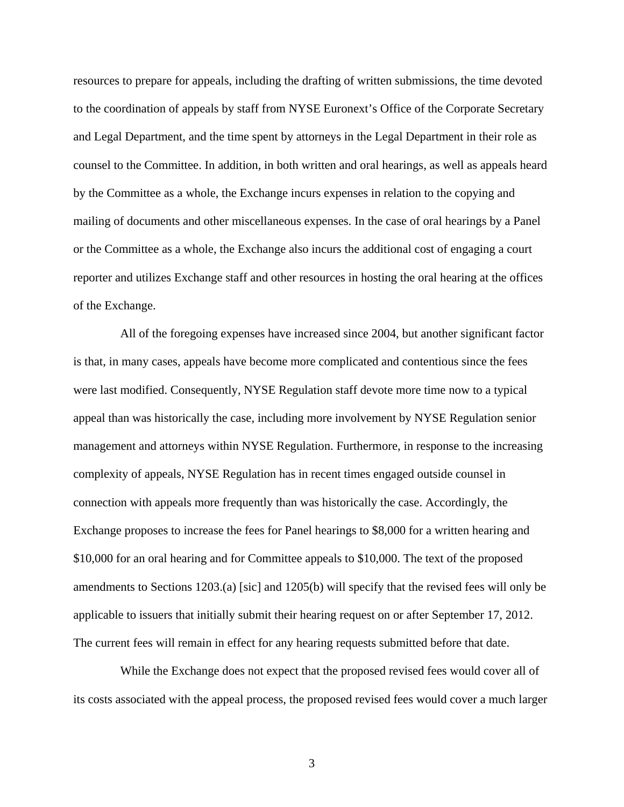resources to prepare for appeals, including the drafting of written submissions, the time devoted to the coordination of appeals by staff from NYSE Euronext's Office of the Corporate Secretary and Legal Department, and the time spent by attorneys in the Legal Department in their role as counsel to the Committee. In addition, in both written and oral hearings, as well as appeals heard by the Committee as a whole, the Exchange incurs expenses in relation to the copying and mailing of documents and other miscellaneous expenses. In the case of oral hearings by a Panel or the Committee as a whole, the Exchange also incurs the additional cost of engaging a court reporter and utilizes Exchange staff and other resources in hosting the oral hearing at the offices of the Exchange.

All of the foregoing expenses have increased since 2004, but another significant factor is that, in many cases, appeals have become more complicated and contentious since the fees were last modified. Consequently, NYSE Regulation staff devote more time now to a typical appeal than was historically the case, including more involvement by NYSE Regulation senior management and attorneys within NYSE Regulation. Furthermore, in response to the increasing complexity of appeals, NYSE Regulation has in recent times engaged outside counsel in connection with appeals more frequently than was historically the case. Accordingly, the Exchange proposes to increase the fees for Panel hearings to \$8,000 for a written hearing and \$10,000 for an oral hearing and for Committee appeals to \$10,000. The text of the proposed amendments to Sections 1203.(a) [sic] and 1205(b) will specify that the revised fees will only be applicable to issuers that initially submit their hearing request on or after September 17, 2012. The current fees will remain in effect for any hearing requests submitted before that date.

While the Exchange does not expect that the proposed revised fees would cover all of its costs associated with the appeal process, the proposed revised fees would cover a much larger

3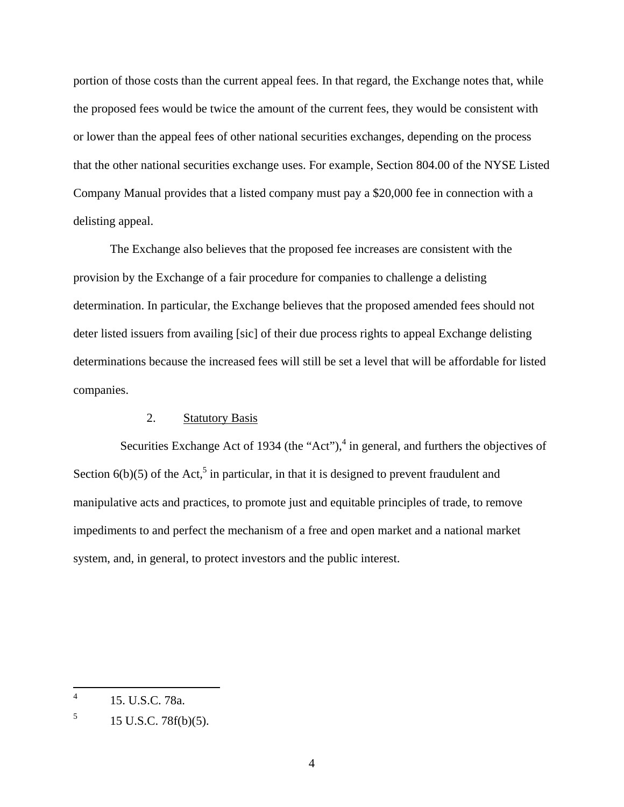portion of those costs than the current appeal fees. In that regard, the Exchange notes that, while the proposed fees would be twice the amount of the current fees, they would be consistent with or lower than the appeal fees of other national securities exchanges, depending on the process that the other national securities exchange uses. For example, Section 804.00 of the NYSE Listed Company Manual provides that a listed company must pay a \$20,000 fee in connection with a delisting appeal.

 The Exchange also believes that the proposed fee increases are consistent with the provision by the Exchange of a fair procedure for companies to challenge a delisting determination. In particular, the Exchange believes that the proposed amended fees should not deter listed issuers from availing [sic] of their due process rights to appeal Exchange delisting determinations because the increased fees will still be set a level that will be affordable for listed companies.

#### 2. Statutory Basis

Securities Exchange Act of 1934 (the "Act"), $4$  in general, and furthers the objectives of Section  $6(b)(5)$  of the Act,<sup>5</sup> in particular, in that it is designed to prevent fraudulent and manipulative acts and practices, to promote just and equitable principles of trade, to remove impediments to and perfect the mechanism of a free and open market and a national market system, and, in general, to protect investors and the public interest.

 $\frac{1}{4}$ 15. U.S.C. 78a.

<sup>5</sup> 15 U.S.C. 78f(b)(5).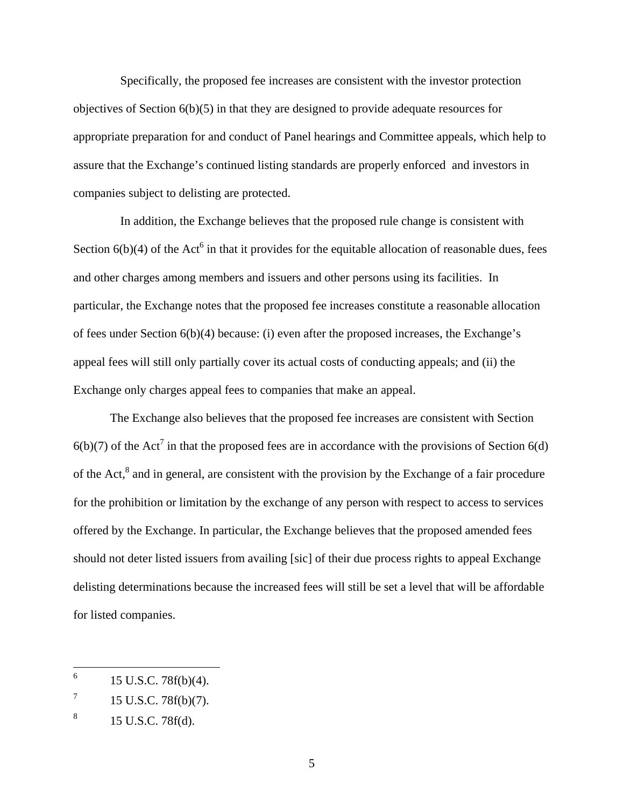Specifically, the proposed fee increases are consistent with the investor protection objectives of Section  $6(b)(5)$  in that they are designed to provide adequate resources for appropriate preparation for and conduct of Panel hearings and Committee appeals, which help to assure that the Exchange's continued listing standards are properly enforced and investors in companies subject to delisting are protected.

In addition, the Exchange believes that the proposed rule change is consistent with Section  $6(b)(4)$  of the Act<sup>6</sup> in that it provides for the equitable allocation of reasonable dues, fees and other charges among members and issuers and other persons using its facilities. In particular, the Exchange notes that the proposed fee increases constitute a reasonable allocation of fees under Section 6(b)(4) because: (i) even after the proposed increases, the Exchange's appeal fees will still only partially cover its actual costs of conducting appeals; and (ii) the Exchange only charges appeal fees to companies that make an appeal.

The Exchange also believes that the proposed fee increases are consistent with Section  $6(b)(7)$  of the Act<sup>7</sup> in that the proposed fees are in accordance with the provisions of Section  $6(d)$ of the Act, ${}^{8}$  and in general, are consistent with the provision by the Exchange of a fair procedure for the prohibition or limitation by the exchange of any person with respect to access to services offered by the Exchange. In particular, the Exchange believes that the proposed amended fees should not deter listed issuers from availing [sic] of their due process rights to appeal Exchange delisting determinations because the increased fees will still be set a level that will be affordable for listed companies.

 6 15 U.S.C. 78f(b)(4).

<sup>7</sup> 15 U.S.C. 78f(b)(7).

<sup>8</sup> 15 U.S.C. 78f(d).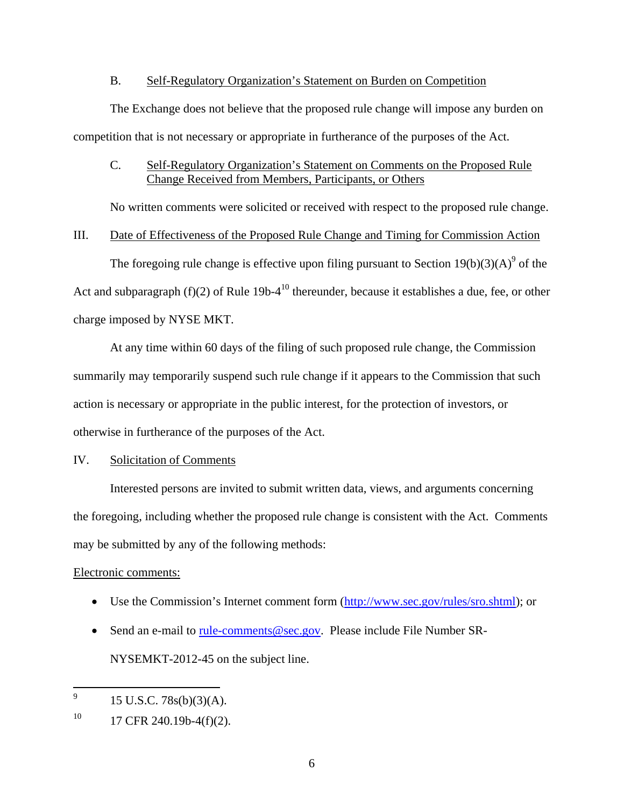#### B. Self-Regulatory Organization's Statement on Burden on Competition

The Exchange does not believe that the proposed rule change will impose any burden on competition that is not necessary or appropriate in furtherance of the purposes of the Act.

## C. Self-Regulatory Organization's Statement on Comments on the Proposed Rule Change Received from Members, Participants, or Others

No written comments were solicited or received with respect to the proposed rule change.

### III. Date of Effectiveness of the Proposed Rule Change and Timing for Commission Action

The foregoing rule change is effective upon filing pursuant to Section  $19(b)(3)(A)^9$  of the Act and subparagraph  $(f)(2)$  of Rule 19b-4<sup>10</sup> thereunder, because it establishes a due, fee, or other charge imposed by NYSE MKT.

At any time within 60 days of the filing of such proposed rule change, the Commission summarily may temporarily suspend such rule change if it appears to the Commission that such action is necessary or appropriate in the public interest, for the protection of investors, or otherwise in furtherance of the purposes of the Act.

## IV. Solicitation of Comments

Interested persons are invited to submit written data, views, and arguments concerning the foregoing, including whether the proposed rule change is consistent with the Act. Comments may be submitted by any of the following methods:

### Electronic comments:

- Use the Commission's Internet comment form (http://www.sec.gov/rules/sro.shtml); or
- Send an e-mail to rule-comments@sec.gov. Please include File Number SR-NYSEMKT-2012-45 on the subject line.

<sup>—&</sup>lt;br>9 15 U.S.C. 78s(b)(3)(A).

 $10$  17 CFR 240.19b-4(f)(2).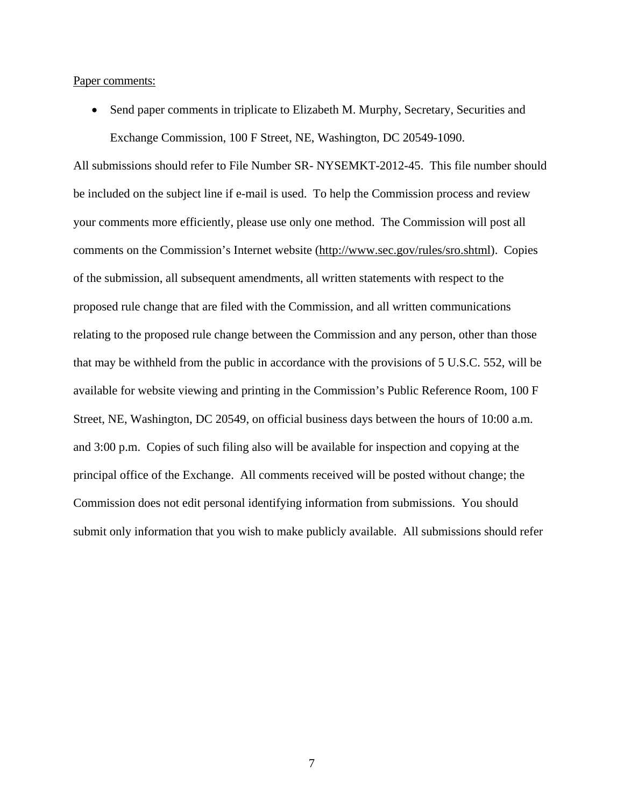Paper comments:

• Send paper comments in triplicate to Elizabeth M. Murphy, Secretary, Securities and Exchange Commission, 100 F Street, NE, Washington, DC 20549-1090.

All submissions should refer to File Number SR- NYSEMKT-2012-45. This file number should be included on the subject line if e-mail is used. To help the Commission process and review your comments more efficiently, please use only one method. The Commission will post all comments on the Commission's Internet website (http://www.sec.gov/rules/sro.shtml). Copies of the submission, all subsequent amendments, all written statements with respect to the proposed rule change that are filed with the Commission, and all written communications relating to the proposed rule change between the Commission and any person, other than those that may be withheld from the public in accordance with the provisions of 5 U.S.C. 552, will be available for website viewing and printing in the Commission's Public Reference Room, 100 F Street, NE, Washington, DC 20549, on official business days between the hours of 10:00 a.m. and 3:00 p.m. Copies of such filing also will be available for inspection and copying at the principal office of the Exchange. All comments received will be posted without change; the Commission does not edit personal identifying information from submissions. You should submit only information that you wish to make publicly available. All submissions should refer